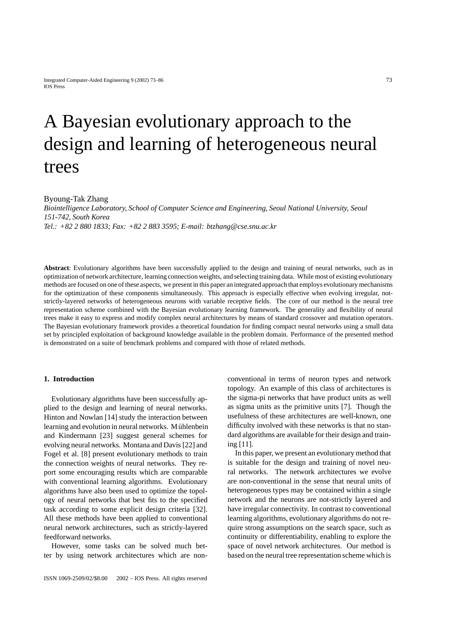# A Bayesian evolutionary approach to the design and learning of heterogeneous neural trees

Byoung-Tak Zhang

*Biointelligence Laboratory, School of Computer Science and Engineering, Seoul National University, Seoul 151-742, South Korea Tel.: +82 2 880 1833; Fax: +82 2 883 3595; E-mail: btzhang@cse.snu.ac.kr*

**Abstract**: Evolutionary algorithms have been successfully applied to the design and training of neural networks, such as in optimization of network architecture, learning connection weights, and selecting training data. While most of existing evolutionary methods are focused on one of these aspects, we present in this paper an integrated approach that employs evolutionary mechanisms for the optimization of these components simultaneously. This approach is especially effective when evolving irregular, notstrictly-layered networks of heterogeneous neurons with variable receptive fields. The core of our method is the neural tree representation scheme combined with the Bayesian evolutionary learning framework. The generality and flexibility of neural trees make it easy to express and modify complex neural architectures by means of standard crossover and mutation operators. The Bayesian evolutionary framework provides a theoretical foundation for finding compact neural networks using a small data set by principled exploitation of background knowledge available in the problem domain. Performance of the presented method is demonstrated on a suite of benchmark problems and compared with those of related methods.

## **1. Introduction**

Evolutionary algorithms have been successfully applied to the design and learning of neural networks. Hinton and Nowlan [14] study the interaction between learning and evolution in neural networks. Mühlenbein and Kindermann [23] suggest general schemes for evolving neural networks. Montana and Davis [22] and Fogel et al. [8] present evolutionary methods to train the connection weights of neural networks. They report some encouraging results which are comparable with conventional learning algorithms. Evolutionary algorithms have also been used to optimize the topology of neural networks that best fits to the specified task according to some explicit design criteria [32]. All these methods have been applied to conventional neural network architectures, such as strictly-layered feedforward networks.

However, some tasks can be solved much better by using network architectures which are nonconventional in terms of neuron types and network topology. An example of this class of architectures is the sigma-pi networks that have product units as well as sigma units as the primitive units [7]. Though the usefulness of these architectures are well-known, one difficulty involved with these networks is that no standard algorithms are available for their design and training [11].

In this paper, we present an evolutionary method that is suitable for the design and training of novel neural networks. The network architectures we evolve are non-conventional in the sense that neural units of heterogeneous types may be contained within a single network and the neurons are not-strictly layered and have irregular connectivity. In contrast to conventional learning algorithms, evolutionary algorithms do not require strong assumptions on the search space, such as continuity or differentiability, enabling to explore the space of novel network architectures. Our method is based on the neural tree representation scheme which is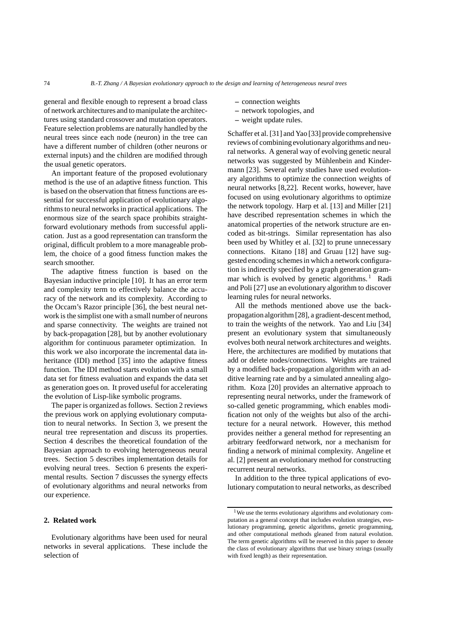general and flexible enough to represent a broad class of network architectures and to manipulate the architectures using standard crossover and mutation operators. Feature selection problems are naturally handled by the neural trees since each node (neuron) in the tree can have a different number of children (other neurons or external inputs) and the children are modified through the usual genetic operators.

An important feature of the proposed evolutionary method is the use of an adaptive fitness function. This is based on the observation that fitness functions are essential for successful application of evolutionary algorithms to neural networks in practical applications. The enormous size of the search space prohibits straightforward evolutionary methods from successful application. Just as a good representation can transform the original, difficult problem to a more manageable problem, the choice of a good fitness function makes the search smoother.

The adaptive fitness function is based on the Bayesian inductive principle [10]. It has an error term and complexity term to effectively balance the accuracy of the network and its complexity. According to the Occam's Razor principle [36], the best neural network is the simplist one with a small number of neurons and sparse connectivity. The weights are trained not by back-propagation [28], but by another evolutionary algorithm for continuous parameter optimization. In this work we also incorporate the incremental data inheritance (IDI) method [35] into the adaptive fitness function. The IDI method starts evolution with a small data set for fitness evaluation and expands the data set as generation goes on. It proved useful for accelerating the evolution of Lisp-like symbolic programs.

The paper is organized as follows. Section 2 reviews the previous work on applying evolutionary computation to neural networks. In Section 3, we present the neural tree representation and discuss its properties. Section 4 describes the theoretical foundation of the Bayesian approach to evolving heterogeneous neural trees. Section 5 describes implementation details for evolving neural trees. Section 6 presents the experimental results. Section 7 discusses the synergy effects of evolutionary algorithms and neural networks from our experience.

# **2. Related work**

Evolutionary algorithms have been used for neural networks in several applications. These include the selection of

- **–** connection weights
- **–** network topologies, and
- **–** weight update rules.

Schaffer et al. [31] and Yao [33] provide comprehensive reviews of combining evolutionary algorithms and neural networks. A general way of evolving genetic neural networks was suggested by Mühlenbein and Kindermann [23]. Several early studies have used evolutionary algorithms to optimize the connection weights of neural networks [8,22]. Recent works, however, have focused on using evolutionary algorithms to optimize the network topology. Harp et al. [13] and Miller [21] have described representation schemes in which the anatomical properties of the network structure are encoded as bit-strings. Similar representation has also been used by Whitley et al. [32] to prune unnecessary connections. Kitano [18] and Gruau [12] have suggested encoding schemes in which a network configuration is indirectly specified by a graph generation grammar which is evolved by genetic algorithms. $1$  Radi and Poli [27] use an evolutionary algorithm to discover learning rules for neural networks.

All the methods mentioned above use the backpropagationalgorithm [28], a gradient-descent method, to train the weights of the network. Yao and Liu [34] present an evolutionary system that simultaneously evolves both neural network architectures and weights. Here, the architectures are modified by mutations that add or delete nodes/connections. Weights are trained by a modified back-propagation algorithm with an additive learning rate and by a simulated annealing algorithm. Koza [20] provides an alternative approach to representing neural networks, under the framework of so-called genetic programming, which enables modification not only of the weights but also of the architecture for a neural network. However, this method provides neither a general method for representing an arbitrary feedforward network, nor a mechanism for finding a network of minimal complexity. Angeline et al. [2] present an evolutionary method for constructing recurrent neural networks.

In addition to the three typical applications of evolutionary computation to neural networks, as described

<sup>&</sup>lt;sup>1</sup>We use the terms evolutionary algorithms and evolutionary computation as a general concept that includes evolution strategies, evolutionary programming, genetic algorithms, genetic programming, and other computational methods gleaned from natural evolution. The term genetic algorithms will be reserved in this paper to denote the class of evolutionary algorithms that use binary strings (usually with fixed length) as their representation.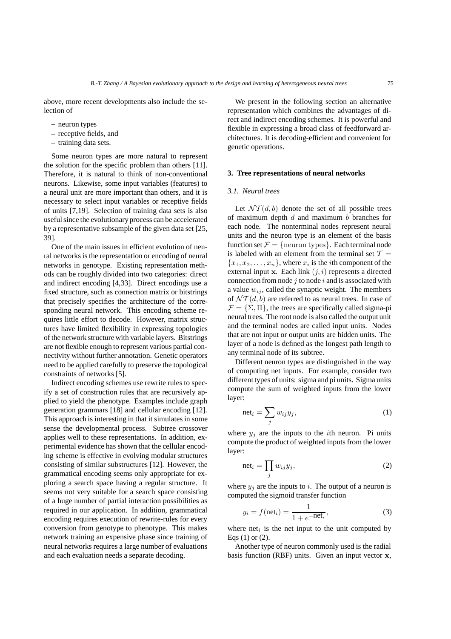above, more recent developments also include the selection of

- **–** neuron types
- **–** receptive fields, and
- **–** training data sets.

Some neuron types are more natural to represent the solution for the specific problem than others [11]. Therefore, it is natural to think of non-conventional neurons. Likewise, some input variables (features) to a neural unit are more important than others, and it is necessary to select input variables or receptive fields of units [7,19]. Selection of training data sets is also useful since the evolutionary process can be accelerated by a representative subsample of the given data set [25, 39].

One of the main issues in efficient evolution of neural networks is the representation or encoding of neural networks in genotype. Existing representation methods can be roughly divided into two categories: direct and indirect encoding [4,33]. Direct encodings use a fixed structure, such as connection matrix or bitstrings that precisely specifies the architecture of the corresponding neural network. This encoding scheme requires little effort to decode. However, matrix structures have limited flexibility in expressing topologies of the network structure with variable layers. Bitstrings are not flexible enough to represent various partial connectivity without further annotation. Genetic operators need to be applied carefully to preserve the topological constraints of networks [5].

Indirect encoding schemes use rewrite rules to specify a set of construction rules that are recursively applied to yield the phenotype. Examples include graph generation grammars [18] and cellular encoding [12]. This approach is interesting in that it simulates in some sense the developmental process. Subtree crossover applies well to these representations. In addition, experimental evidence has shown that the cellular encoding scheme is effective in evolving modular structures consisting of similar substructures [12]. However, the grammatical encoding seems only appropriate for exploring a search space having a regular structure. It seems not very suitable for a search space consisting of a huge number of partial interaction possibilities as required in our application. In addition, grammatical encoding requires execution of rewrite-rules for every conversion from genotype to phenotype. This makes network training an expensive phase since training of neural networks requires a large number of evaluations and each evaluation needs a separate decoding.

We present in the following section an alternative representation which combines the advantages of direct and indirect encoding schemes. It is powerful and flexible in expressing a broad class of feedforward architectures. It is decoding-efficient and convenient for genetic operations.

## **3. Tree representations of neural networks**

#### *3.1. Neural trees*

Let  $\mathcal{NT}(d, b)$  denote the set of all possible trees of maximum depth  $d$  and maximum  $b$  branches for each node. The nonterminal nodes represent neural units and the neuron type is an element of the basis function set  $\mathcal{F} = \{$  neuron types $\}$ . Each terminal node is labeled with an element from the terminal set  $T =$  ${x_1, x_2,...,x_n}$ , where  $x_i$  is the *i*th component of the external input  $x$ . Each link  $(j, i)$  represents a directed connection from node  $i$  to node  $i$  and is associated with a value  $w_{ij}$ , called the synaptic weight. The members of  $\mathcal{NT}(d, b)$  are referred to as neural trees. In case of  $\mathcal{F} = {\Sigma, \Pi}$ , the trees are specifically called sigma-pi neural trees. The root node is also called the output unit and the terminal nodes are called input units. Nodes that are not input or output units are hidden units. The layer of a node is defined as the longest path length to any terminal node of its subtree.

Different neuron types are distinguished in the way of computing net inputs. For example, consider two different types of units: sigma and pi units. Sigma units compute the sum of weighted inputs from the lower layer:

$$
net_i = \sum_j w_{ij} y_j,
$$
 (1)

where  $y_i$  are the inputs to the *i*th neuron. Pi units compute the product of weighted inputs from the lower layer:

$$
net_i = \prod_j w_{ij} y_j,
$$
 (2)

where  $y_i$  are the inputs to i. The output of a neuron is computed the sigmoid transfer function

$$
y_i = f(\text{net}_i) = \frac{1}{1 + e^{-\text{net}_i}},\tag{3}
$$

where net<sub>i</sub> is the net input to the unit computed by Eqs (1) or (2).

Another type of neuron commonly used is the radial basis function (RBF) units. Given an input vector **x**,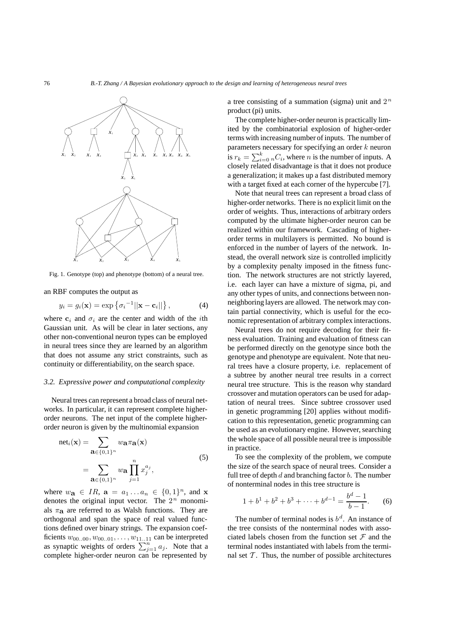

Fig. 1. Genotype (top) and phenotype (bottom) of a neural tree.

an RBF computes the output as

$$
y_i = g_i(\mathbf{x}) = \exp\left\{\sigma_i^{-1}||\mathbf{x} - \mathbf{c}_i||\right\},\tag{4}
$$

where  $c_i$  and  $\sigma_i$  are the center and width of the *i*th Gaussian unit. As will be clear in later sections, any other non-conventional neuron types can be employed in neural trees since they are learned by an algorithm that does not assume any strict constraints, such as continuity or differentiability, on the search space.

#### *3.2. Expressive power and computational complexity*

Neural trees can represent a broad class of neural networks. In particular, it can represent complete higherorder neurons. The net input of the complete higherorder neuron is given by the multinomial expansion

$$
neti(\mathbf{x}) = \sum_{\mathbf{a} \in \{0,1\}^n} w_{\mathbf{a}} \pi_{\mathbf{a}}(\mathbf{x})
$$
  
= 
$$
\sum_{\mathbf{a} \in \{0,1\}^n} w_{\mathbf{a}} \prod_{j=1}^n x_j^{a_j},
$$
 (5)

where  $w_{\mathbf{a}} \in IR$ ,  $\mathbf{a} = a_1 \dots a_n \in \{0,1\}^n$ , and **x** denotes the original input vector. The  $2^{n}$  monomials  $\pi_{a}$  are referred to as Walsh functions. They are orthogonal and span the space of real valued functions defined over binary strings. The expansion coefficients  $w_{00..00}$ ,  $w_{00..01}$ , ...,  $w_{11...11}$  can be interpreted<br>as synaptic weights of orders  $\sum_{j=1}^{n} a_j$ . Note that a<br>complete higher-order neuron can be represented by complete higher-order neuron can be represented by

a tree consisting of a summation (sigma) unit and  $2<sup>n</sup>$ product (pi) units.

The complete higher-order neuron is practically limited by the combinatorial explosion of higher-order terms with increasing number of inputs. The number of parameters necessary for specifying an order  $k$  neuron is  $r_k = \sum_{i=0}^{k} {}_{n}C_i$ , where n is the number of inputs. A closely related disadvantage is that it does not produce closely related disadvantage is that it does not produce a generalization; it makes up a fast distributed memory with a target fixed at each corner of the hypercube [7].

Note that neural trees can represent a broad class of higher-order networks. There is no explicit limit on the order of weights. Thus, interactions of arbitrary orders computed by the ultimate higher-order neuron can be realized within our framework. Cascading of higherorder terms in multilayers is permitted. No bound is enforced in the number of layers of the network. Instead, the overall network size is controlled implicitly by a complexity penalty imposed in the fitness function. The network structures are not strictly layered, i.e. each layer can have a mixture of sigma, pi, and any other types of units, and connections between nonneighboring layers are allowed. The network may contain partial connectivity, which is useful for the economic representation of arbitrary complex interactions.

Neural trees do not require decoding for their fitness evaluation. Training and evaluation of fitness can be performed directly on the genotype since both the genotype and phenotype are equivalent. Note that neural trees have a closure property, i.e. replacement of a subtree by another neural tree results in a correct neural tree structure. This is the reason why standard crossover and mutation operators can be used for adaptation of neural trees. Since subtree crossover used in genetic programming [20] applies without modification to this representation, genetic programming can be used as an evolutionary engine. However, searching the whole space of all possible neural tree is impossible in practice.

To see the complexity of the problem, we compute the size of the search space of neural trees. Consider a full tree of depth  $d$  and branching factor  $b$ . The number of nonterminal nodes in this tree structure is

$$
1 + b1 + b2 + b3 + \dots + bd-1 = \frac{bd - 1}{b - 1}.
$$
 (6)

The number of terminal nodes is  $b^d$ . An instance of the tree consists of the nonterminal nodes with associated labels chosen from the function set  $\mathcal F$  and the terminal nodes instantiated with labels from the terminal set  $\mathcal T$ . Thus, the number of possible architectures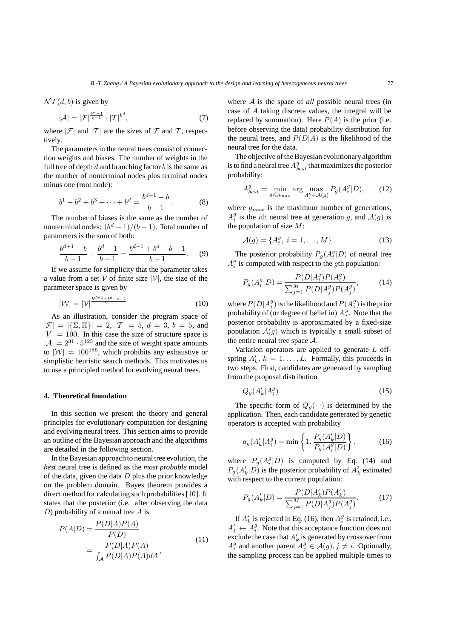$$
\mathcal{NT}(d, b)
$$
 is given by

$$
|\mathcal{A}| = |\mathcal{F}|^{\frac{b^d-1}{b-1}} \cdot |\mathcal{T}|^{b^d},\tag{7}
$$

where  $|\mathcal{F}|$  and  $|\mathcal{T}|$  are the sizes of  $\mathcal F$  and  $\mathcal T$ , respectively.

The parameters in the neural trees consist of connection weights and biases. The number of weights in the full tree of depth  $d$  and branching factor  $b$  is the same as the number of nonterminal nodes plus terminal nodes minus one (root node):

$$
b1 + b2 + b3 + \dots + bd = \frac{b^{d+1} - b}{b - 1}.
$$
 (8)

The number of biases is the same as the number of nonterminal nodes:  $(b<sup>d</sup> - 1)/(b - 1)$ . Total number of parameters is the sum of both:

$$
\frac{b^{d+1}-b}{b-1} + \frac{b^d-1}{b-1} = \frac{b^{d+1}+b^d-b-1}{b-1}.
$$
 (9)

If we assume for simplicity that the parameter takes a value from a set V of finite size  $|V|$ , the size of the parameter space is given by

$$
|\mathcal{W}| = |\mathcal{V}|^{\frac{b^{d+1} + b^d - b - 1}{b-1}}
$$
 (10)

As an illustration, consider the program space of  $|\mathcal{F}| = |\{\Sigma, \Pi\}| = 2, |\mathcal{T}| = 5, d = 3, b = 5, \text{ and }$  $|V| = 100$ . In this case the size of structure space is  $|A| = 2^{31} \cdot 5^{125}$  and the size of weight space amounts to  $|W| = 100^{186}$ , which prohibits any exhaustive or simplistic heuristic search methods. This motivates us to use a principled method for evolving neural trees.

## **4. Theoretical foundation**

In this section we present the theory and general principles for evolutionary computation for designing and evolving neural trees. This section aims to provide an outline of the Bayesian approach and the algorithms are detailed in the following section.

In the Bayesian approach to neural tree evolution, the *best* neural tree is defined as the *most probable* model of the data, given the data  $D$  plus the prior knowledge on the problem domain. Bayes theorem provides a direct method for calculating such probabilities [10]. It states that the posterior (i.e. after observing the data  $D$ ) probability of a neural tree  $A$  is

$$
P(A|D) = \frac{P(D|A)P(A)}{P(D)}
$$

$$
= \frac{P(D|A)P(A)}{\int_{\mathcal{A}} P(D|A)P(A)dA},
$$
(11)

where A is the space of *all* possible neural trees (in case of A taking discrete values, the integral will be replaced by summation). Here  $P(A)$  is the prior (i.e. before observing the data) probability distribution for the neural trees, and  $P(D|A)$  is the likelihood of the neural tree for the data.

The objective of the Bayesian evolutionary algorithm is to find a neural tree  $A_{best}^g$  that maximizes the posterior probability:

$$
A_{best}^g = \min_{g \le g_{max}} \arg \max_{A_i^g \in \mathcal{A}(g)} P_g(A_i^g | D), \tag{12}
$$

where  $g_{max}$  is the maximum number of generations,  $A_i^g$  is the *i*th neural tree at generation g, and  $A(g)$  is the population of size  $M$ :

$$
\mathcal{A}(g) = \{A_i^g, \ i = 1, \dots, M\}.
$$
 (13)

The posterior probability  $P_g(A_i^g|D)$  of neural tree  $A_i^g$  is computed with respect to the gth population:

$$
P_g(A_i^g|D) = \frac{P(D|A_i^g)P(A_i^g)}{\sum_{j=1}^M P(D|A_j^g)P(A_j^g)},
$$
(14)

where  $P(D|A_i^g)$  is the likelihood and  $P(A_i^g)$  is the prior probability of (or degree of belief in)  $A_i^g$ . Note that the posterior probability is approximated by a fixed-size population  $A(g)$  which is typically a small subset of the entire neural tree space  $A$ .

Variation operators are applied to generate L offspring  $A'_k$ ,  $k = 1, ..., L$ . Formally, this proceeds in two steps. First, candidates are generated by sampling from the proposal distribution

$$
Q_g(A'_k|A_i^g) \tag{15}
$$

The specific form of  $Q_g(\cdot|\cdot)$  is determined by the application. Then, each candidate generated by genetic operators is accepted with probability

$$
a_g(A'_k|A_i^g) = \min\left\{1, \frac{P_g(A'_k|D)}{P_g(A_i^g|D)}\right\},
$$
 (16)

where  $P_g(A_i^g|D)$  is computed by Eq. (14) and  $P_g(A'_k|D)$  is the posterior probability of  $A'_k$  estimated with respect to the current population:

$$
P_g(A'_k|D) = \frac{P(D|A'_k)P(A'_k)}{\sum_{j=1}^M P(D|A_j^g)P(A_j^g)}.
$$
 (17)

If  $A'_k$  is rejected in Eq. (16), then  $A_i^g$  is retained, i.e.,  $A'_k \leftarrow A_i^g$ . Note that this acceptance function does not exclude the case that  $A'_k$  is generated by crossover from  $A_i^g$  and another parent  $A_j^g \in \mathcal{A}(g)$ ,  $j \neq i$ . Optionally, the sampling process can be applied multiple times to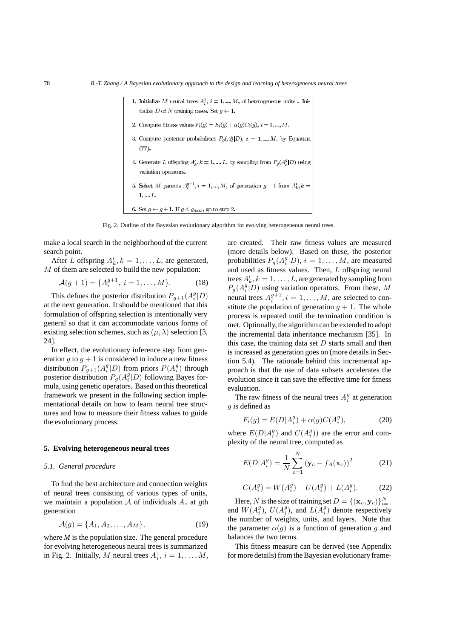1. Initialize M neural trees  $A_i^1$ ,  $i = 1, ..., M$ , of heterogeneous units. Initialize D of N training cases. Set  $g \leftarrow 1$ . 2. Compute fitness values  $F_i(g) = E_i(g) + \alpha(g)C_i(g), i = 1, ..., M$ . 3. Compute posterior probabilities  $P_q(A_i^g|D)$ ,  $i = 1,...,M$ , by Equation  $(22)$ 4. Generate L offspring  $A'_k, k = 1, ..., L$ , by sampling from  $P_g(A_i^g|D)$  using variation operators. 5. Select $M$  parents  $A_i^{g+1}, i=1,...,M,$  of generation  $g+1$  from  $A_k^{\prime}, k=$ 6. Set  $g \leftarrow g + 1$ . If  $g \le g_{max}$ , go to step 2.

Fig. 2. Outline of the Bayesian evolutionary algorithm for evolving heterogeneous neural trees.

make a local search in the neighborhood of the current search point.

After L offspring  $A'_k$ ,  $k = 1, ..., L$ , are generated,  $M$  of them are selected to build the new population:

$$
\mathcal{A}(g+1) = \{A_i^{g+1}, i = 1, ..., M\}.
$$
 (18)

This defines the posterior distribution  $P_{g+1}(A_g^g|D)$ <br>the next conception. It should be mentioned that this at the next generation. It should be mentioned that this formulation of offspring selection is intentionally very general so that it can accommodate various forms of existing selection schemes, such as  $(\mu, \lambda)$  selection [3, 24].

In effect, the evolutionary inference step from generation g to  $g + 1$  is considered to induce a new fitness distribution  $P_{g+1}(A_g^g|D)$  from priors  $P(A_g^g)$  through<br>posterior distribution  $P(A_g|D)$  following Payes for posterior distribution  $P_g(A_i^g|D)$  following Bayes formula, using genetic operators. Based on this theoretical framework we present in the following section implementational details on how to learn neural tree structures and how to measure their fitness values to guide the evolutionary process.

## **5. Evolving heterogeneous neural trees**

## *5.1. General procedure*

To find the best architecture and connection weights of neural trees consisting of various types of units, we maintain a population  $A$  of individuals  $A_i$  at *g*th generation

$$
\mathcal{A}(g) = \{A_1, A_2, \dots, A_M\},\tag{19}
$$

where *M* is the population size. The general procedure for evolving heterogeneous neural trees is summarized in Fig. 2. Initially, M neural trees  $A_i^1$ ,  $i = 1, \ldots, M$ , are created. Their raw fitness values are measured (more details below). Based on these, the posterior probabilities  $P_g(A_i^g|D), i = 1, \ldots, M$ , are measured and used as fitness values. Then, L offspring neural trees  $A'_k$ ,  $k = 1, \ldots, L$ , are generated by sampling from  $P_g(A_i^g|D)$  using variation operators. From these, M neural trees  $A_i^{g+1}, i = 1, \ldots, M$ , are selected to constitute the population of generation  $q + 1$ . The whole process is repeated until the termination condition is met. Optionally, the algorithm can be extended to adopt the incremental data inheritance mechanism [35]. In this case, the training data set  $D$  starts small and then is increased as generation goes on (more details in Section 5.4). The rationale behind this incremental approach is that the use of data subsets accelerates the evolution since it can save the effective time for fitness evaluation.

The raw fitness of the neural trees  $A_i^g$  at generation  $q$  is defined as

$$
F_i(g) = E(D|A_i^g) + \alpha(g)C(A_i^g),\tag{20}
$$

where  $E(D|A_i^g)$  and  $C(A_i^g)$  are the error and complexity of the neural tree, computed as

$$
E(D|A_i^g) = \frac{1}{N} \sum_{c=1}^{N} (\mathbf{y}_c - f_A(\mathbf{x}_c))^2
$$
 (21)

$$
C(A_i^g) = W(A_i^g) + U(A_i^g) + L(A_i^g). \tag{22}
$$

Here, N is the size of training set  $D = \{(\mathbf{x}_c, \mathbf{y}_c)\}_{i=1}^N$ iffer and  $W(A_i^g)$ ,  $U(A_i^g)$ , and  $L(A_i^g)$  denote respectively the number of weights, units, and layers. Note that the parameter  $\alpha(g)$  is a function of generation g and balances the two terms.

This fitness measure can be derived (see Appendix for more details) from the Bayesian evolutionary frame-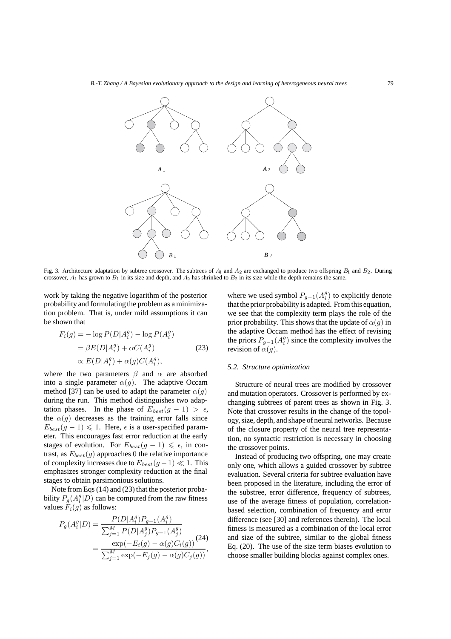

Fig. 3. Architecture adaptation by subtree crossover. The subtrees of *A*<sup>1</sup> and *A*<sup>2</sup> are exchanged to produce two offspring *B*<sup>1</sup> and *B*2. During crossover,  $A_1$  has grown to  $B_1$  in its size and depth, and  $A_2$  has shrinked to  $B_2$  in its size while the depth remains the same.

work by taking the negative logarithm of the posterior probability and formulating the problem as a minimization problem. That is, under mild assumptions it can be shown that

$$
F_i(g) = -\log P(D|A_i^g) - \log P(A_i^g)
$$
  
=  $\beta E(D|A_i^g) + \alpha C(A_i^g)$  (23)  
 $\propto E(D|A_i^g) + \alpha(g)C(A_i^g),$ 

where the two parameters  $\beta$  and  $\alpha$  are absorbed into a single parameter  $\alpha(g)$ . The adaptive Occam method [37] can be used to adapt the parameter  $\alpha(q)$ during the run. This method distinguishes two adaptation phases. In the phase of  $E_{best}(g - 1) > \epsilon$ , the  $\alpha(g)$  decreases as the training error falls since  $E_{best}(g - 1) \leq 1$ . Here,  $\epsilon$  is a user-specified parameter. This encourages fast error reduction at the early stages of evolution. For  $E_{best}(g - 1) \leq \epsilon$ , in contrast, as  $E_{best}(g)$  approaches 0 the relative importance of complexity increases due to  $E_{best}(g-1) \ll 1$ . This emphasizes stronger complexity reduction at the final stages to obtain parsimonious solutions.

Note from Eqs (14) and (23) that the posterior probability  $P_g(A_i^g|D)$  can be computed from the raw fitness values  $F_i(g)$  as follows:

$$
P_g(A_i^g|D) = \frac{P(D|A_i^g)P_{g-1}(A_i^g)}{\sum_{j=1}^M P(D|A_j^g)P_{g-1}(A_j^g)}
$$
  
= 
$$
\frac{\exp(-E_i(g) - \alpha(g)C_i(g))}{\sum_{j=1}^M \exp(-E_j(g) - \alpha(g)C_j(g))},
$$

where we used symbol  $P_{g-1}(A_i^g)$  to explicitly denote<br>that the prior probability is edented. From this equation that the prior probability is adapted. From this equation, we see that the complexity term plays the role of the prior probability. This shows that the update of  $\alpha(q)$  in the adaptive Occam method has the effect of revising the priors  $P_{g-1}(A_i^g)$  since the complexity involves the revision of  $c(s)$ revision of  $\alpha(g)$ .

#### *5.2. Structure optimization*

Structure of neural trees are modified by crossover and mutation operators. Crossover is performed by exchanging subtrees of parent trees as shown in Fig. 3. Note that crossover results in the change of the topology, size, depth, and shape of neural networks. Because of the closure property of the neural tree representation, no syntactic restriction is necessary in choosing the crossover points.

Instead of producing two offspring, one may create only one, which allows a guided crossover by subtree evaluation. Several criteria for subtree evaluation have been proposed in the literature, including the error of the substree, error difference, frequency of subtrees, use of the average fitness of population, correlationbased selection, combination of frequency and error difference (see [30] and references therein). The local fitness is measured as a combination of the local error and size of the subtree, similar to the global fitness Eq. (20). The use of the size term biases evolution to choose smaller building blocks against complex ones.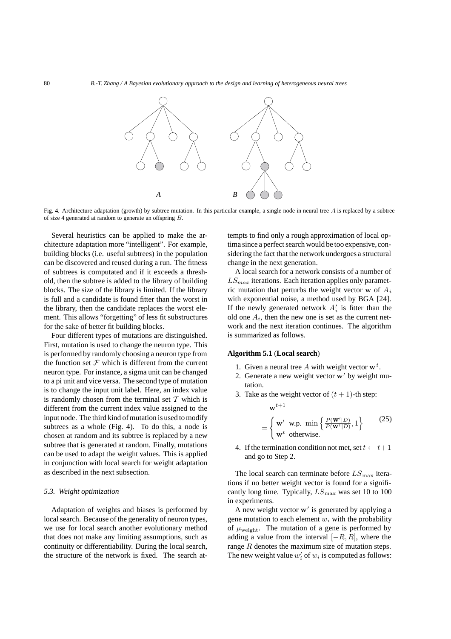

Fig. 4. Architecture adaptation (growth) by subtree mutation. In this particular example, a single node in neural tree *A* is replaced by a subtree of size 4 generated at random to generate an offspring *B*.

Several heuristics can be applied to make the architecture adaptation more "intelligent". For example, building blocks (i.e. useful subtrees) in the population can be discovered and reused during a run. The fitness of subtrees is computated and if it exceeds a threshold, then the subtree is added to the library of building blocks. The size of the library is limited. If the library is full and a candidate is found fitter than the worst in the library, then the candidate replaces the worst element. This allows "forgetting" of less fit substructures for the sake of better fit building blocks.

Four different types of mutations are distinguished. First, mutation is used to change the neuron type. This is performed by randomly choosing a neuron type from the function set  $\mathcal F$  which is different from the current neuron type. For instance, a sigma unit can be changed to a pi unit and vice versa. The second type of mutation is to change the input unit label. Here, an index value is randomly chosen from the terminal set  $T$  which is different from the current index value assigned to the input node. The third kind of mutation is used to modify subtrees as a whole (Fig. 4). To do this, a node is chosen at random and its subtree is replaced by a new subtree that is generated at random. Finally, mutations can be used to adapt the weight values. This is applied in conjunction with local search for weight adaptation as described in the next subsection.

#### *5.3. Weight optimization*

Adaptation of weights and biases is performed by local search. Because of the generality of neuron types, we use for local search another evolutionary method that does not make any limiting assumptions, such as continuity or differentiability. During the local search, the structure of the network is fixed. The search attempts to find only a rough approximation of local optima since a perfect search would be too expensive, considering the fact that the network undergoes a structural change in the next generation.

A local search for a network consists of a number of  $LS_{max}$  iterations. Each iteration applies only parametric mutation that perturbs the weight vector **w** of  $A_i$ with exponential noise, a method used by BGA [24]. If the newly generated network  $A'_i$  is fitter than the old one  $A_i$ , then the new one is set as the current network and the next iteration continues. The algorithm is summarized as follows.

#### **Algorithm 5.1** (**Local search**)

- 1. Given a neural tree A with weight vector  $\mathbf{w}^t$ .
- 2. Generate a new weight vector **w**' by weight mutation.
- 3. Take as the weight vector of  $(t + 1)$ -th step:  $\mathbf{w}^{t+1}$

$$
= \begin{cases} \mathbf{w}' & \text{w.p. min} \left\{ \frac{P(\mathbf{w}'|D)}{P(\mathbf{w}^t|D)}, 1 \right\} \\ \mathbf{w}^t & \text{otherwise.} \end{cases}
$$
 (25)

4. If the termination condition not met, set  $t \leftarrow t+1$ and go to Step 2.

The local search can terminate before  $LS_{\text{max}}$  iterations if no better weight vector is found for a significantly long time. Typically,  $LS_{\text{max}}$  was set 10 to 100 in experiments.

A new weight vector **w** is generated by applying a gene mutation to each element  $w_i$  with the probability of  $\mu_{\text{weight}}$ . The mutation of a gene is performed by adding a value from the interval  $[-R, R]$ , where the range  $R$  denotes the maximum size of mutation steps. The new weight value  $w_i'$  of  $w_i$  is computed as follows: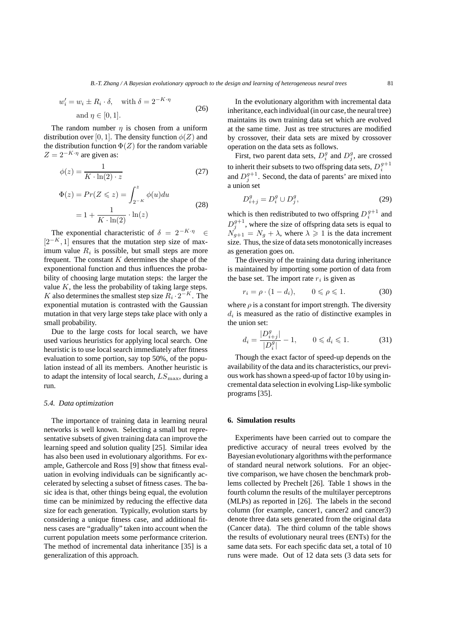$$
w'_{i} = w_{i} \pm R_{i} \cdot \delta, \quad \text{with } \delta = 2^{-K \cdot \eta}
$$
  
and  $\eta \in [0, 1].$  (26)

The random number  $\eta$  is chosen from a uniform distribution over [0, 1]. The density function  $\phi(Z)$  and the distribution function  $\Phi(Z)$  for the random variable  $Z = 2^{-K \cdot \eta}$  are given as:

$$
\phi(z) = \frac{1}{K \cdot \ln(2) \cdot z} \tag{27}
$$

$$
\Phi(z) = Pr(Z \leq z) = \int_{2^{-K}}^{z} \phi(u) du
$$

$$
= 1 + \frac{1}{K \cdot \ln(2)} \cdot \ln(z)
$$
(28)

The exponential characteristic of  $\delta = 2^{-K \cdot \eta}$  ∈  $[2^{-K}, 1]$  ensures that the mutation step size of maximum value  $R_i$  is possible, but small steps are more frequent. The constant  $K$  determines the shape of the exponentional function and thus influences the probability of choosing large mutation steps: the larger the value  $K$ , the less the probability of taking large steps. K also determines the smallest step size  $R_i \cdot 2^{-K}$ . The exponential mutation is contrasted with the Gaussian mutation in that very large steps take place with only a small probability.

Due to the large costs for local search, we have used various heuristics for applying local search. One heuristic is to use local search immediately after fitness evaluation to some portion, say top 50%, of the population instead of all its members. Another heuristic is to adapt the intensity of local search,  $LS_{\text{max}}$ , during a run.

#### *5.4. Data optimization*

The importance of training data in learning neural networks is well known. Selecting a small but representative subsets of given training data can improve the learning speed and solution quality [25]. Similar idea has also been used in evolutionary algorithms. For example, Gathercole and Ross [9] show that fitness evaluation in evolving individuals can be significantly accelerated by selecting a subset of fitness cases. The basic idea is that, other things being equal, the evolution time can be minimized by reducing the effective data size for each generation. Typically, evolution starts by considering a unique fitness case, and additional fitness cases are "gradually" taken into account when the current population meets some performance criterion. The method of incremental data inheritance [35] is a generalization of this approach.

In the evolutionary algorithm with incremental data inheritance, each individual (in our case, the neural tree) maintains its own training data set which are evolved at the same time. Just as tree structures are modified by crossover, their data sets are mixed by crossover operation on the data sets as follows.

First, two parent data sets,  $D_i^g$  and  $D_j^g$ , are crossed to inherit their subsets to two offspring data sets,  $D_i^{g+1}$ and  $D_j^{g+1}$ . Second, the data of parents' are mixed into a union set

$$
D_{i+j}^{g} = D_i^{g} \cup D_j^{g}, \tag{29}
$$

which is then redistributed to two offspring  $D_i^{g+1}$  and  $D_j^{g+1}$ , where the size of offspring data sets is equal to  $N_{g+1} = N_g + \lambda$ , where  $\lambda \ge 1$  is the data increment size. Thus, the size of data sets monotonically increases as generation goes on.

The diversity of the training data during inheritance is maintained by importing some portion of data from the base set. The import rate  $r_i$  is given as

$$
r_i = \rho \cdot (1 - d_i), \qquad 0 \leq \rho \leq 1. \tag{30}
$$

where  $\rho$  is a constant for import strength. The diversity  $d_i$  is measured as the ratio of distinctive examples in the union set:

$$
d_i = \frac{|D_{i+j}^g|}{|D_i^g|} - 1, \qquad 0 \leq d_i \leq 1. \tag{31}
$$

Though the exact factor of speed-up depends on the availability of the data and its characteristics, our previous work has shown a speed-up of factor 10 by using incremental data selection in evolving Lisp-like symbolic programs [35].

## **6. Simulation results**

Experiments have been carried out to compare the predictive accuracy of neural trees evolved by the Bayesian evolutionary algorithms with the performance of standard neural network solutions. For an objective comparison, we have chosen the benchmark problems collected by Prechelt [26]. Table 1 shows in the fourth column the results of the multilayer perceptrons (MLPs) as reported in [26]. The labels in the second column (for example, cancer1, cancer2 and cancer3) denote three data sets generated from the original data (Cancer data). The third column of the table shows the results of evolutionary neural trees (ENTs) for the same data sets. For each specific data set, a total of 10 runs were made. Out of 12 data sets (3 data sets for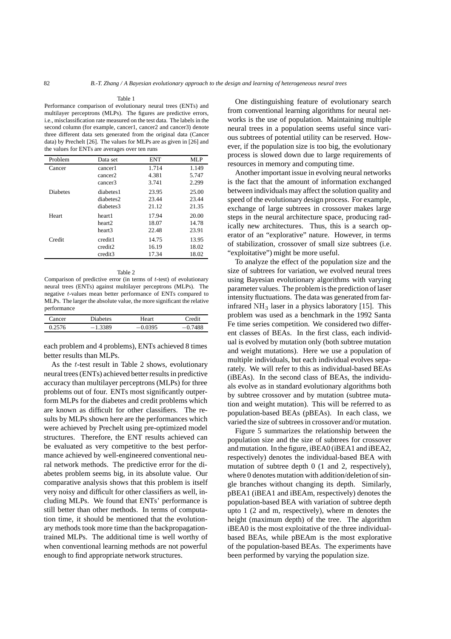#### Table 1

Performance comparison of evolutionary neural trees (ENTs) and multilayer perceptrons (MLPs). The figures are predictive errors, i.e., misclassification rate measured on the test data. The labels in the second column (for example, cancer1, cancer2 and cancer3) denote three different data sets generated from the original data (Cancer data) by Prechelt [26]. The values for MLPs are as given in [26] and the values for ENTs are averages over ten runs

| Problem         | Data set            | ENT   | MLP   |
|-----------------|---------------------|-------|-------|
| Cancer          | cancer1             | 1.714 | 1.149 |
|                 | cancer <sub>2</sub> | 4.381 | 5.747 |
|                 | cancer3             | 3.741 | 2.299 |
| <b>Diabetes</b> | diabetes 1          | 23.95 | 25.00 |
|                 | diabetes2           | 23.44 | 23.44 |
|                 | diabetes3           | 21.12 | 21.35 |
| Heart           | heart1              | 17.94 | 20.00 |
|                 | heart <sub>2</sub>  | 18.07 | 14.78 |
|                 | heart3              | 22.48 | 23.91 |
| Credit          | credit1             | 14.75 | 13.95 |
|                 | credit2             | 16.19 | 18.02 |
|                 | credit3             | 17.34 | 18.02 |

| able |  |
|------|--|
|      |  |

Comparison of predictive error (in terms of *t*-test) of evolutionary neural trees (ENTs) against multilayer perceptrons (MLPs). The negative *t*-values mean better performance of ENTs compared to MLPs. The larger the absolute value, the more significant the relative performance

| 'ancer | Diabetes  | Heart     | `redit    |
|--------|-----------|-----------|-----------|
| 0.2576 | $-1.3389$ | $-0.0395$ | $-0.7488$ |

each problem and 4 problems), ENTs achieved 8 times better results than MLPs.

As the t-test result in Table 2 shows, evolutionary neural trees (ENTs) achieved better results in predictive accuracy than multilayer perceptrons (MLPs) for three problems out of four. ENTs most significantly outperform MLPs for the diabetes and credit problems which are known as difficult for other classifiers. The results by MLPs shown here are the performances which were achieved by Prechelt using pre-optimized model structures. Therefore, the ENT results achieved can be evaluated as very competitive to the best performance achieved by well-engineered conventional neural network methods. The predictive error for the diabetes problem seems big, in its absolute value. Our comparative analysis shows that this problem is itself very noisy and difficult for other classifiers as well, including MLPs. We found that ENTs' performance is still better than other methods. In terms of computation time, it should be mentioned that the evolutionary methods took more time than the backpropagationtrained MLPs. The additional time is well worthy of when conventional learning methods are not powerful enough to find appropriate network structures.

One distinguishing feature of evolutionary search from conventional learning algorithms for neural networks is the use of population. Maintaining multiple neural trees in a population seems useful since various subtrees of potential utility can be reserved. However, if the population size is too big, the evolutionary process is slowed down due to large requirements of resources in memory and computing time.

Another important issue in evolving neural networks is the fact that the amount of information exchanged between individuals may affect the solution quality and speed of the evolutionary design process. For example, exchange of large subtrees in crossover makes large steps in the neural architecture space, producing radically new architectures. Thus, this is a search operator of an "explorative" nature. However, in terms of stabilization, crossover of small size subtrees (i.e. "exploitative") might be more useful.

To analyze the effect of the population size and the size of subtrees for variation, we evolved neural trees using Bayesian evolutionary algorithms with varying parameter values. The problem is the prediction of laser intensity fluctuations. The data was generated from farinfrared  $NH<sub>3</sub>$  laser in a physics laboratory [15]. This problem was used as a benchmark in the 1992 Santa Fe time series competition. We considered two different classes of BEAs. In the first class, each individual is evolved by mutation only (both subtree mutation and weight mutations). Here we use a population of multiple individuals, but each individual evolves separately. We will refer to this as individual-based BEAs (iBEAs). In the second class of BEAs, the individuals evolve as in standard evolutionary algorithms both by subtree crossover and by mutation (subtree mutation and weight mutation). This will be referred to as population-based BEAs (pBEAs). In each class, we varied the size of subtrees in crossover and/or mutation.

Figure 5 summarizes the relationship between the population size and the size of subtrees for crossover and mutation. In the figure, iBEA0 (iBEA1 and iBEA2, respectively) denotes the individual-based BEA with mutation of subtree depth 0 (1 and 2, respectively), where 0 denotes mutation with addition/deletion of single branches without changing its depth. Similarly, pBEA1 (iBEA1 and iBEAm, respectively) denotes the population-based BEA with variation of subtree depth upto 1 (2 and m, respectively), where m denotes the height (maximum depth) of the tree. The algorithm iBEA0 is the most exploitative of the three individualbased BEAs, while pBEAm is the most explorative of the population-based BEAs. The experiments have been performed by varying the population size.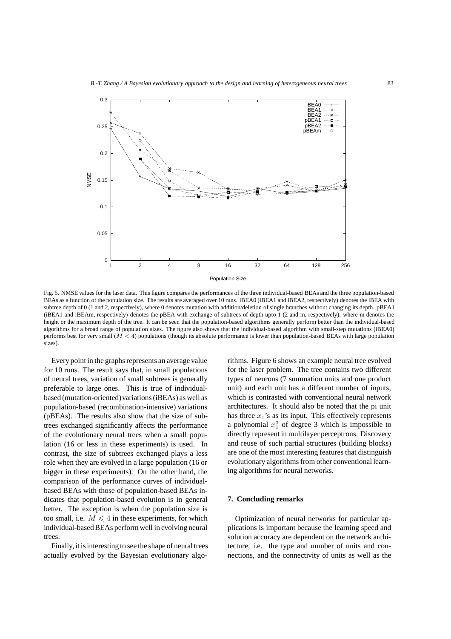

Fig. 5. NMSE values for the laser data. This figure compares the performances of the three individual-based BEAs and the three population-based BEAs as a function of the population size. The results are averaged over 10 runs. iBEA0 (iBEA1 and iBEA2, respectively) denotes the iBEA with subtree depth of 0 (1 and 2, respectively), where 0 denotes mutation with addition/deletion of single branches without changing its depth. pBEA1 (iBEA1 and iBEAm, respectively) denotes the pBEA with exchange of subtrees of depth upto 1 (2 and m, respectively), where m denotes the height or the maximum depth of the tree. It can be seen that the population-based algorithms generally perform better than the individual-based algorithms for a broad range of population sizes. The figure also shows that the individual-based algorithm with small-step mutations (iBEA0) performs best for very small (*M <* 4) populations (though its absolute performance is lower than population-based BEAs with large population sizes).

Every point in the graphs represents an average value for 10 runs. The result says that, in small populations of neural trees, variation of small subtrees is generally preferable to large ones. This is true of individualbased (mutation-oriented)variations (iBEAs) as well as population-based (recombination-intensive) variations (pBEAs). The results also show that the size of subtrees exchanged significantly affects the performance of the evolutionary neural trees when a small population (16 or less in these experiments) is used. In contrast, the size of subtrees exchanged plays a less role when they are evolved in a large population (16 or bigger in these experiments). On the other hand, the comparison of the performance curves of individualbased BEAs with those of population-based BEAs indicates that population-based evolution is in general better. The exception is when the population size is too small, i.e.  $M \leq 4$  in these experiments, for which individual-based BEAs perform well in evolving neural trees.

Finally, it is interesting to see the shape of neural trees actually evolved by the Bayesian evolutionary algorithms. Figure 6 shows an example neural tree evolved for the laser problem. The tree contains two different types of neurons (7 summation units and one product unit) and each unit has a different number of inputs, which is contrasted with conventional neural network architectures. It should also be noted that the pi unit has three  $x_1$ 's as its input. This effectively represents a polynomial  $x_1^3$  of degree 3 which is impossible to directly represent in multilever perceptrons. Discovery directly represent in multilayer perceptrons. Discovery and reuse of such partial structures (building blocks) are one of the most interesting features that distinguish evolutionary algorithms from other conventional learning algorithms for neural networks.

## **7. Concluding remarks**

Optimization of neural networks for particular applications is important because the learning speed and solution accuracy are dependent on the network architecture, i.e. the type and number of units and connections, and the connectivity of units as well as the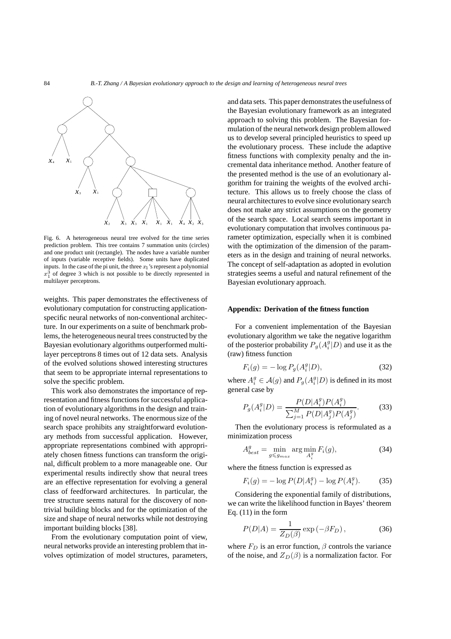

Fig. 6. A heterogeneous neural tree evolved for the time series prediction problem. This tree contains 7 summation units (circles) and one product unit (rectangle). The nodes have a variable number of inputs (variable receptive fields). Some units have duplicated inputs. In the case of the pi unit, the three  $x_1$ 's represent a polynomial  $x_1^3$  of degree 3 which is not possible to be directly represented in multilayer perceptrons.

weights. This paper demonstrates the effectiveness of evolutionary computation for constructing applicationspecific neural networks of non-conventional architecture. In our experiments on a suite of benchmark problems, the heterogeneous neural trees constructed by the Bayesian evolutionary algorithms outperformed multilayer perceptrons 8 times out of 12 data sets. Analysis of the evolved solutions showed interesting structures that seem to be appropriate internal representations to solve the specific problem.

This work also demonstrates the importance of representation and fitness functions for successful application of evolutionary algorithms in the design and training of novel neural networks. The enormous size of the search space prohibits any straightforward evolutionary methods from successful application. However, appropriate representations combined with appropriately chosen fitness functions can transform the original, difficult problem to a more manageable one. Our experimental results indirectly show that neural trees are an effective representation for evolving a general class of feedforward architectures. In particular, the tree structure seems natural for the discovery of nontrivial building blocks and for the optimization of the size and shape of neural networks while not destroying important building blocks [38].

From the evolutionary computation point of view, neural networks provide an interesting problem that involves optimization of model structures, parameters, and data sets. This paper demonstrates the usefulness of the Bayesian evolutionary framework as an integrated approach to solving this problem. The Bayesian formulation of the neural network design problem allowed us to develop several principled heuristics to speed up the evolutionary process. These include the adaptive fitness functions with complexity penalty and the incremental data inheritance method. Another feature of the presented method is the use of an evolutionary algorithm for training the weights of the evolved architecture. This allows us to freely choose the class of neural architectures to evolve since evolutionary search does not make any strict assumptions on the geometry of the search space. Local search seems important in evolutionary computation that involves continuous parameter optimization, especially when it is combined with the optimization of the dimension of the parameters as in the design and training of neural networks. The concept of self-adaptation as adopted in evolution strategies seems a useful and natural refinement of the Bayesian evolutionary approach.

## **Appendix: Derivation of the fitness function**

For a convenient implementation of the Bayesian evolutionary algorithm we take the negative logarithm of the posterior probability  $P_g(A_i^g|D)$  and use it as the (raw) fitness function

$$
F_i(g) = -\log P_g(A_i^g|D),\tag{32}
$$

where  $A_i^g \in \mathcal{A}(g)$  and  $P_g(A_i^g|D)$  is defined in its most general case by

$$
P_g(A_i^g|D) = \frac{P(D|A_i^g)P(A_i^g)}{\sum_{j=1}^M P(D|A_j^g)P(A_j^g)}.
$$
 (33)

Then the evolutionary process is reformulated as a minimization process

$$
A_{best}^g = \min_{g \le g_{max}} \arg \min_{A_i^g} F_i(g), \tag{34}
$$

where the fitness function is expressed as

$$
F_i(g) = -\log P(D|A_i^g) - \log P(A_i^g). \tag{35}
$$

Considering the exponential family of distributions, we can write the likelihood function in Bayes' theorem Eq. (11) in the form

$$
P(D|A) = \frac{1}{Z_D(\beta)} \exp(-\beta F_D), \qquad (36)
$$

where  $F_D$  is an error function,  $\beta$  controls the variance of the noise, and  $Z_D(\beta)$  is a normalization factor. For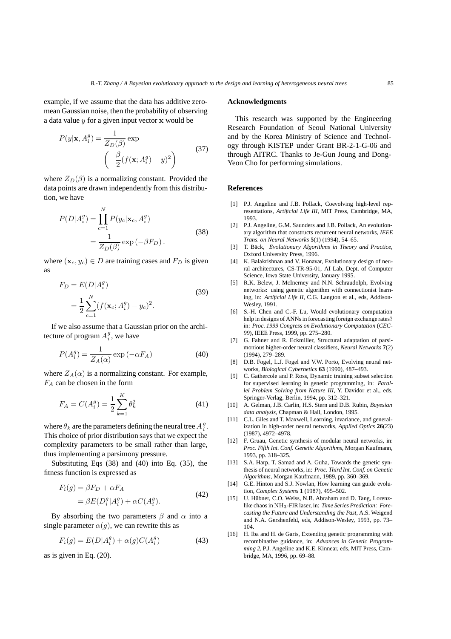example, if we assume that the data has additive zeromean Gaussian noise, then the probability of observing a data value y for a given input vector **x** would be

$$
P(y|\mathbf{x}, A_i^g) = \frac{1}{Z_D(\beta)} \exp \left(-\frac{\beta}{2}(f(\mathbf{x}; A_i^g) - y)^2\right)
$$
\n(37)

where  $Z_D(\beta)$  is a normalizing constant. Provided the data points are drawn independently from this distribution, we have

$$
P(D|A_i^g) = \prod_{c=1}^N P(y_c|\mathbf{x}_c, A_i^g)
$$
  
= 
$$
\frac{1}{Z_D(\beta)} \exp(-\beta F_D).
$$
 (38)

where  $(\mathbf{x}_c, y_c) \in D$  are training cases and  $F_D$  is given as

$$
F_D = E(D|A_i^g)
$$
  
=  $\frac{1}{2} \sum_{c=1}^{N} (f(\mathbf{x}_c; A_i^g) - y_c)^2$ . (39)

If we also assume that a Gaussian prior on the architecture of program  $A_i^g$ , we have

$$
P(A_i^g) = \frac{1}{Z_A(\alpha)} \exp(-\alpha F_A)
$$
\n(40)

where  $Z_A(\alpha)$  is a normalizing constant. For example,  $F_A$  can be chosen in the form

$$
F_A = C(A_i^g) = \frac{1}{2} \sum_{k=1}^{K} \theta_k^2
$$
 (41)

where  $\theta_k$  are the parameters defining the neural tree  $A_i^g$ . This choice of prior distribution says that we expect the complexity parameters to be small rather than large, thus implementing a parsimony pressure.

Substituting Eqs (38) and (40) into Eq. (35), the fitness function is expressed as

$$
F_i(g) = \beta F_D + \alpha F_A
$$
  
= 
$$
\beta E(D_i^g | A_i^g) + \alpha C(A_i^g).
$$
 (42)

By absorbing the two parameters  $\beta$  and  $\alpha$  into a single parameter  $\alpha(g)$ , we can rewrite this as

$$
F_i(g) = E(D|A_i^g) + \alpha(g)C(A_i^g)
$$
\n(43)

as is given in Eq. (20).

## **Acknowledgments**

This research was supported by the Engineering Research Foundation of Seoul National University and by the Korea Ministry of Science and Technology through KISTEP under Grant BR-2-1-G-06 and through AITRC. Thanks to Je-Gun Joung and Dong-Yeon Cho for performing simulations.

## **References**

- [1] P.J. Angeline and J.B. Pollack, Coevolving high-level representations, *Artificial Life III*, MIT Press, Cambridge, MA, 1993.
- [2] P.J. Angeline, G.M. Saunders and J.B. Pollack, An evolutionary algorithm that constructs recurrent neural networks, *IEEE Trans. on Neural Networks* **5**(1) (1994), 54–65.
- [3] T. Bäck, Evolutionary Algorithms in Theory and Practice, Oxford University Press, 1996.
- [4] K. Balakrishnan and V. Honavar, Evolutionary design of neural architectures, CS-TR-95-01, AI Lab, Dept. of Computer Science, Iowa State University, January 1995.
- [5] R.K. Belew, J. McInerney and N.N. Schraudolph, Evolving networks: using genetic algorithm with connectionist learning, in: *Artificial Life II*, C.G. Langton et al., eds, Addison-Wesley, 1991.
- [6] S.-H. Chen and C.-F. Lu, Would evolutionary computation help in designs of ANNs in forecasting foreign exchange rates? in: *Proc. 1999 Congress on Evolutionary Computation* (*CEC-99*)*,* IEEE Press, 1999, pp. 275–280.
- [7] G. Fahner and R. Eckmiller, Structural adaptation of parsimonious higher-order neural classifiers, *Neural Networks* **7**(2) (1994), 279–289.
- [8] D.B. Fogel, L.J. Fogel and V.W. Porto, Evolving neural networks, *Biological Cybernetics* **63** (1990), 487–493.
- [9] C. Gathercole and P. Ross, Dynamic training subset selection for supervised learning in genetic programming, in: *Parallel Problem Solving from Nature III*, Y. Davidor et al., eds, Springer-Verlag, Berlin, 1994, pp. 312–321.
- [10] A. Gelman, J.B. Carlin, H.S. Stern and D.B. Rubin, *Bayesian data analysis*, Chapman & Hall, London, 1995.
- [11] C.L. Giles and T. Maxwell, Learning, invariance, and generalization in high-order neural networks, *Applied Optics* **26**(23) (1987), 4972–4978.
- [12] F. Gruau, Genetic synthesis of modular neural networks, in: *Proc. Fifth Int. Conf. Genetic Algorithms*, Morgan Kaufmann, 1993, pp. 318–325.
- [13] S.A. Harp, T. Samad and A. Guha, Towards the genetic synthesis of neural networks, in: *Proc. Third Int. Conf. on Genetic Algorithms*, Morgan Kaufmann, 1989, pp. 360–369.
- [14] G.E. Hinton and S.J. Nowlan, How learning can guide evolution, *Complex Systems* **1** (1987), 495–502.
- [15] U. Hübner, C.O. Weiss, N.B. Abraham and D. Tang, Lorenzlike chaos in NH3-FIR laser, in: *Time Series Prediction: Forecasting the Future and Understanding the Past*, A.S. Weigend and N.A. Gershenfeld, eds, Addison-Wesley, 1993, pp. 73– 104.
- [16] H. Iba and H. de Garis, Extending genetic programming with recombinative guidance, in: *Advances in Genetic Programming 2*, P.J. Angeline and K.E. Kinnear, eds, MIT Press, Cambridge, MA, 1996, pp. 69–88.